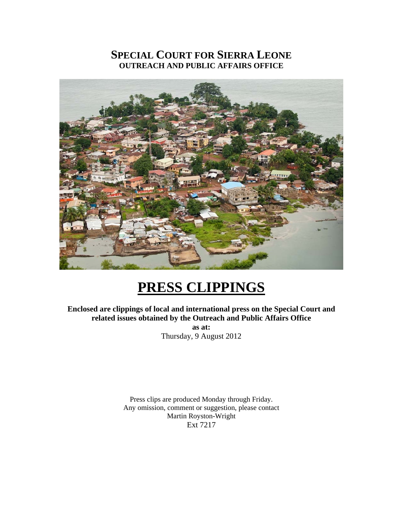## **SPECIAL COURT FOR SIERRA LEONE OUTREACH AND PUBLIC AFFAIRS OFFICE**



# **PRESS CLIPPINGS**

**Enclosed are clippings of local and international press on the Special Court and related issues obtained by the Outreach and Public Affairs Office as at:**  Thursday, 9 August 2012

> Press clips are produced Monday through Friday. Any omission, comment or suggestion, please contact Martin Royston-Wright Ext 7217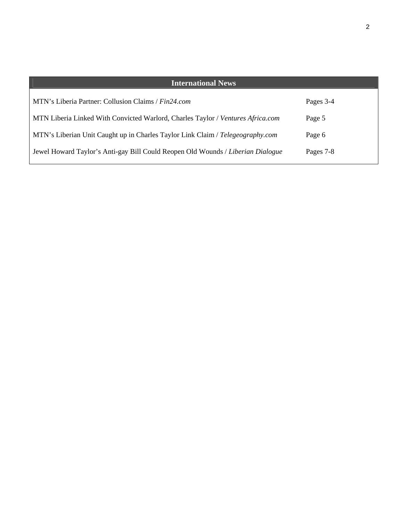| <b>International News</b>                                                       |           |
|---------------------------------------------------------------------------------|-----------|
| MTN's Liberia Partner: Collusion Claims / Fin24.com                             | Pages 3-4 |
| MTN Liberia Linked With Convicted Warlord, Charles Taylor / Ventures Africa.com | Page 5    |
| MTN's Liberian Unit Caught up in Charles Taylor Link Claim / Telegeography.com  | Page 6    |
| Jewel Howard Taylor's Anti-gay Bill Could Reopen Old Wounds / Liberian Dialogue | Pages 7-8 |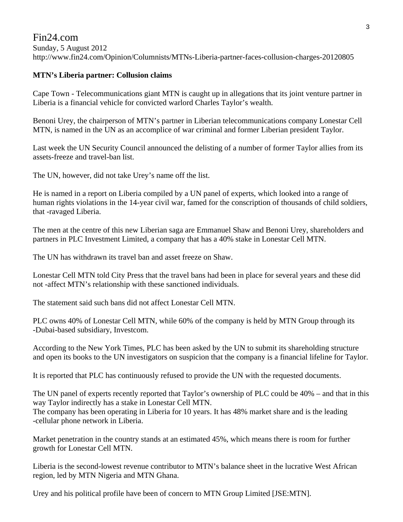### Fin24.com Sunday, 5 August 2012 http://www.fin24.com/Opinion/Columnists/MTNs-Liberia-partner-faces-collusion-charges-20120805

#### **MTN's Liberia partner: Collusion claims**

Cape Town - Telecommunications giant MTN is caught up in allegations that its joint venture partner in Liberia is a financial vehicle for convicted warlord Charles Taylor's wealth.

Benoni Urey, the chairperson of MTN's partner in Liberian telecommunications company Lonestar Cell MTN, is named in the UN as an accomplice of war criminal and former Liberian president Taylor.

Last week the UN Security Council announced the delisting of a number of former Taylor allies from its assets-freeze and travel-ban list.

The UN, however, did not take Urey's name off the list.

He is named in a report on Liberia compiled by a UN panel of experts, which looked into a range of human rights violations in the 14-year civil war, famed for the conscription of thousands of child soldiers, that -ravaged Liberia.

The men at the centre of this new Liberian saga are Emmanuel Shaw and Benoni Urey, shareholders and partners in PLC Investment Limited, a company that has a 40% stake in Lonestar Cell MTN.

The UN has withdrawn its travel ban and asset freeze on Shaw.

Lonestar Cell MTN told City Press that the travel bans had been in place for several years and these did not -affect MTN's relationship with these sanctioned individuals.

The statement said such bans did not affect Lonestar Cell MTN.

PLC owns 40% of Lonestar Cell MTN, while 60% of the company is held by MTN Group through its -Dubai-based subsidiary, Investcom.

According to the New York Times, PLC has been asked by the UN to submit its shareholding structure and open its books to the UN investigators on suspicion that the company is a financial lifeline for Taylor.

It is reported that PLC has continuously refused to provide the UN with the requested documents.

The UN panel of experts recently reported that Taylor's ownership of PLC could be 40% – and that in this way Taylor indirectly has a stake in Lonestar Cell MTN. The company has been operating in Liberia for 10 years. It has 48% market share and is the leading -cellular phone network in Liberia.

Market penetration in the country stands at an estimated 45%, which means there is room for further growth for Lonestar Cell MTN.

Liberia is the second-lowest revenue contributor to MTN's balance sheet in the lucrative West African region, led by MTN Nigeria and MTN Ghana.

Urey and his political profile have been of concern to MTN Group Limited [JSE:MTN].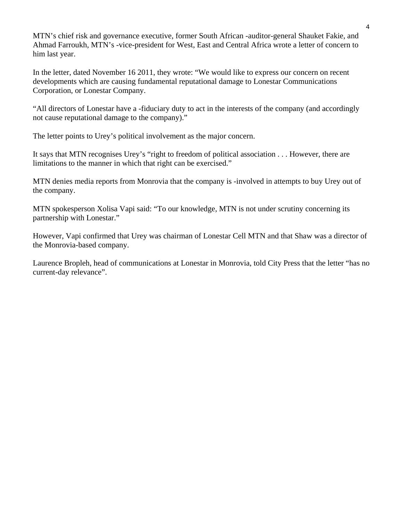MTN's chief risk and governance executive, former South African -auditor-general Shauket Fakie, and Ahmad Farroukh, MTN's -vice-president for West, East and Central Africa wrote a letter of concern to him last year.

In the letter, dated November 16 2011, they wrote: "We would like to express our concern on recent developments which are causing fundamental reputational damage to Lonestar Communications Corporation, or Lonestar Company.

"All directors of Lonestar have a -fiduciary duty to act in the interests of the company (and accordingly not cause reputational damage to the company)."

The letter points to Urey's political involvement as the major concern.

It says that MTN recognises Urey's "right to freedom of political association . . . However, there are limitations to the manner in which that right can be exercised."

MTN denies media reports from Monrovia that the company is -involved in attempts to buy Urey out of the company.

MTN spokesperson Xolisa Vapi said: "To our knowledge, MTN is not under scrutiny concerning its partnership with Lonestar."

However, Vapi confirmed that Urey was chairman of Lonestar Cell MTN and that Shaw was a director of the Monrovia-based company.

Laurence Bropleh, head of communications at Lonestar in Monrovia, told City Press that the letter "has no current-day relevance".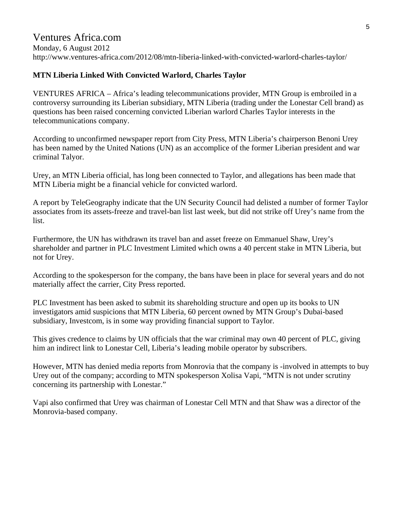# Ventures Africa.com

Monday, 6 August 2012 http://www.ventures-africa.com/2012/08/mtn-liberia-linked-with-convicted-warlord-charles-taylor/

#### **MTN Liberia Linked With Convicted Warlord, Charles Taylor**

VENTURES AFRICA – Africa's leading telecommunications provider, MTN Group is embroiled in a controversy surrounding its Liberian subsidiary, MTN Liberia (trading under the Lonestar Cell brand) as questions has been raised concerning convicted Liberian warlord Charles Taylor interests in the telecommunications company.

According to unconfirmed newspaper report from City Press, MTN Liberia's chairperson Benoni Urey has been named by the United Nations (UN) as an accomplice of the former Liberian president and war criminal Talyor.

Urey, an MTN Liberia official, has long been connected to Taylor, and allegations has been made that MTN Liberia might be a financial vehicle for convicted warlord.

A report by TeleGeography indicate that the UN Security Council had delisted a number of former Taylor associates from its assets-freeze and travel-ban list last week, but did not strike off Urey's name from the list.

Furthermore, the UN has withdrawn its travel ban and asset freeze on Emmanuel Shaw, Urey's shareholder and partner in PLC Investment Limited which owns a 40 percent stake in MTN Liberia, but not for Urey.

According to the spokesperson for the company, the bans have been in place for several years and do not materially affect the carrier, City Press reported.

PLC Investment has been asked to submit its shareholding structure and open up its books to UN investigators amid suspicions that MTN Liberia, 60 percent owned by MTN Group's Dubai-based subsidiary, Investcom, is in some way providing financial support to Taylor.

This gives credence to claims by UN officials that the war criminal may own 40 percent of PLC, giving him an indirect link to Lonestar Cell, Liberia's leading mobile operator by subscribers.

However, MTN has denied media reports from Monrovia that the company is -involved in attempts to buy Urey out of the company; according to MTN spokesperson Xolisa Vapi, "MTN is not under scrutiny concerning its partnership with Lonestar."

Vapi also confirmed that Urey was chairman of Lonestar Cell MTN and that Shaw was a director of the Monrovia-based company.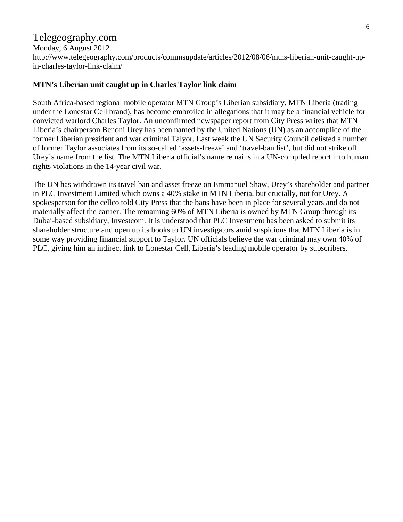## Telegeography.com

Monday, 6 August 2012 http://www.telegeography.com/products/commsupdate/articles/2012/08/06/mtns-liberian-unit-caught-upin-charles-taylor-link-claim/

#### **MTN's Liberian unit caught up in Charles Taylor link claim**

South Africa-based regional mobile operator MTN Group's Liberian subsidiary, MTN Liberia (trading under the Lonestar Cell brand), has become embroiled in allegations that it may be a financial vehicle for convicted warlord Charles Taylor. An unconfirmed newspaper report from City Press writes that MTN Liberia's chairperson Benoni Urey has been named by the United Nations (UN) as an accomplice of the former Liberian president and war criminal Talyor. Last week the UN Security Council delisted a number of former Taylor associates from its so-called 'assets-freeze' and 'travel-ban list', but did not strike off Urey's name from the list. The MTN Liberia official's name remains in a UN-compiled report into human rights violations in the 14-year civil war.

The UN has withdrawn its travel ban and asset freeze on Emmanuel Shaw, Urey's shareholder and partner in PLC Investment Limited which owns a 40% stake in MTN Liberia, but crucially, not for Urey. A spokesperson for the cellco told City Press that the bans have been in place for several years and do not materially affect the carrier. The remaining 60% of MTN Liberia is owned by MTN Group through its Dubai-based subsidiary, Investcom. It is understood that PLC Investment has been asked to submit its shareholder structure and open up its books to UN investigators amid suspicions that MTN Liberia is in some way providing financial support to Taylor. UN officials believe the war criminal may own 40% of PLC, giving him an indirect link to Lonestar Cell, Liberia's leading mobile operator by subscribers.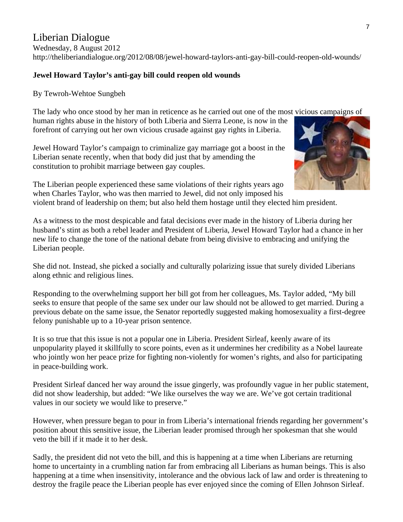## Liberian Dialogue

Wednesday, 8 August 2012 http://theliberiandialogue.org/2012/08/08/jewel-howard-taylors-anti-gay-bill-could-reopen-old-wounds/

#### **Jewel Howard Taylor's anti-gay bill could reopen old wounds**

By Tewroh-Wehtoe Sungbeh

The lady who once stood by her man in reticence as he carried out one of the most vicious campaigns of human rights abuse in the history of both Liberia and Sierra Leone, is now in t he forefront of carrying out her own vicious crusade against gay rights in Liberia.

Jewel Howard Taylor's campaign to criminalize gay marriage got a boost in the Liberian senate recently, when that body did just that by amending the constitution to prohibit marriage between gay couples.

The Liberian people experienced these same violations of their rights years ago when Charles Taylor, who was then married to Jewel, did not only imposed his

violent brand of leadership on them; but also held them hostage until they elected him president.

As a witness to the most despicable and fatal decisions ever made in the history of Liberia during her husband's stint as both a rebel leader and President of Liberia, Jewel Howard Taylor had a chance in her new life to change the tone of the national debate from being divisive to embracing and unifying the Liberian people.

She did not. Instead, she picked a socially and culturally polarizing issue that surely divided Liberians along ethnic and religious lines.

Responding to the overwhelming support her bill got from her colleagues, Ms. Taylor added, "My bill seeks to ensure that people of the same sex under our law should not be allowed to get married. During a previous debate on the same issue, the Senator reportedly suggested making homosexuality a first-degree felony punishable up to a 10-year prison sentence.

It is so true that this issue is not a popular one in Liberia. President Sirleaf, keenly aware of its unpopularity played it skillfully to score points, even as it undermines her credibility as a Nobel laureate who jointly won her peace prize for fighting non-violently for women's rights, and also for participating in peace-building work.

President Sirleaf danced her way around the issue gingerly, was profoundly vague in her public statement, did not show leadership, but added: "We like ourselves the way we are. We've got certain traditional values in our society we would like to preserve."

However, when pressure began to pour in from Liberia's international friends regarding her government's position about this sensitive issue, the Liberian leader promised through her spokesman that she would veto the bill if it made it to her desk.

Sadly, the president did not veto the bill, and this is happening at a time when Liberians are returning home to uncertainty in a crumbling nation far from embracing all Liberians as human beings. This is also happening at a time when insensitivity, intolerance and the obvious lack of law and order is threatening to destroy the fragile peace the Liberian people has ever enjoyed since the coming of Ellen Johnson Sirleaf.

7